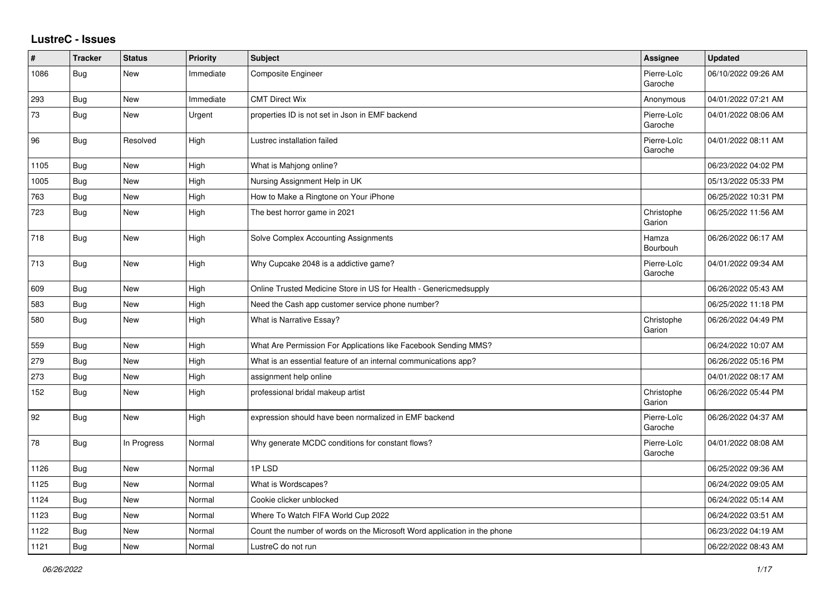## **LustreC - Issues**

| ∦    | <b>Tracker</b> | <b>Status</b> | <b>Priority</b> | <b>Subject</b>                                                           | <b>Assignee</b>        | <b>Updated</b>      |
|------|----------------|---------------|-----------------|--------------------------------------------------------------------------|------------------------|---------------------|
| 1086 | Bug            | New           | Immediate       | Composite Engineer                                                       | Pierre-Loïc<br>Garoche | 06/10/2022 09:26 AM |
| 293  | Bug            | New           | Immediate       | <b>CMT Direct Wix</b>                                                    | Anonymous              | 04/01/2022 07:21 AM |
| 73   | Bug            | New           | Urgent          | properties ID is not set in Json in EMF backend                          | Pierre-Loïc<br>Garoche | 04/01/2022 08:06 AM |
| 96   | <b>Bug</b>     | Resolved      | High            | Lustrec installation failed                                              | Pierre-Loïc<br>Garoche | 04/01/2022 08:11 AM |
| 1105 | Bug            | <b>New</b>    | High            | What is Mahjong online?                                                  |                        | 06/23/2022 04:02 PM |
| 1005 | Bug            | New           | High            | Nursing Assignment Help in UK                                            |                        | 05/13/2022 05:33 PM |
| 763  | Bug            | New           | High            | How to Make a Ringtone on Your iPhone                                    |                        | 06/25/2022 10:31 PM |
| 723  | Bug            | New           | High            | The best horror game in 2021                                             | Christophe<br>Garion   | 06/25/2022 11:56 AM |
| 718  | Bug            | <b>New</b>    | High            | Solve Complex Accounting Assignments                                     | Hamza<br>Bourbouh      | 06/26/2022 06:17 AM |
| 713  | Bug            | New           | High            | Why Cupcake 2048 is a addictive game?                                    | Pierre-Loïc<br>Garoche | 04/01/2022 09:34 AM |
| 609  | <b>Bug</b>     | New           | High            | Online Trusted Medicine Store in US for Health - Genericmedsupply        |                        | 06/26/2022 05:43 AM |
| 583  | <b>Bug</b>     | <b>New</b>    | High            | Need the Cash app customer service phone number?                         |                        | 06/25/2022 11:18 PM |
| 580  | Bug            | New           | High            | What is Narrative Essay?                                                 | Christophe<br>Garion   | 06/26/2022 04:49 PM |
| 559  | <b>Bug</b>     | New           | High            | What Are Permission For Applications like Facebook Sending MMS?          |                        | 06/24/2022 10:07 AM |
| 279  | Bug            | New           | High            | What is an essential feature of an internal communications app?          |                        | 06/26/2022 05:16 PM |
| 273  | Bug            | New           | High            | assignment help online                                                   |                        | 04/01/2022 08:17 AM |
| 152  | Bug            | New           | High            | professional bridal makeup artist                                        | Christophe<br>Garion   | 06/26/2022 05:44 PM |
| 92   | Bug            | New           | High            | expression should have been normalized in EMF backend                    | Pierre-Loïc<br>Garoche | 06/26/2022 04:37 AM |
| 78   | Bug            | In Progress   | Normal          | Why generate MCDC conditions for constant flows?                         | Pierre-Loïc<br>Garoche | 04/01/2022 08:08 AM |
| 1126 | <b>Bug</b>     | <b>New</b>    | Normal          | 1PLSD                                                                    |                        | 06/25/2022 09:36 AM |
| 1125 | Bug            | New           | Normal          | What is Wordscapes?                                                      |                        | 06/24/2022 09:05 AM |
| 1124 | <b>Bug</b>     | New           | Normal          | Cookie clicker unblocked                                                 |                        | 06/24/2022 05:14 AM |
| 1123 | <b>Bug</b>     | <b>New</b>    | Normal          | Where To Watch FIFA World Cup 2022                                       |                        | 06/24/2022 03:51 AM |
| 1122 | Bug            | New           | Normal          | Count the number of words on the Microsoft Word application in the phone |                        | 06/23/2022 04:19 AM |
| 1121 | Bug            | New           | Normal          | LustreC do not run                                                       |                        | 06/22/2022 08:43 AM |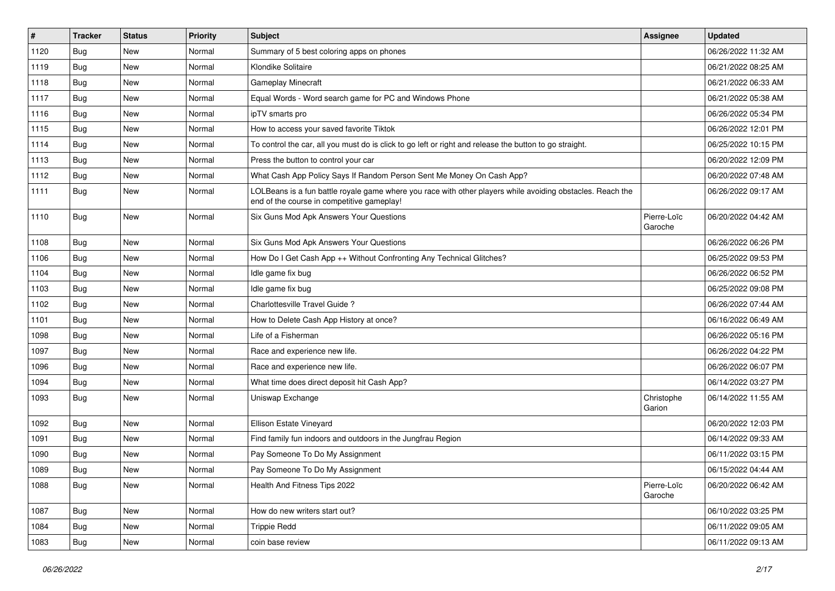| $\vert$ # | <b>Tracker</b> | <b>Status</b> | <b>Priority</b> | <b>Subject</b>                                                                                                                                           | <b>Assignee</b>        | <b>Updated</b>      |
|-----------|----------------|---------------|-----------------|----------------------------------------------------------------------------------------------------------------------------------------------------------|------------------------|---------------------|
| 1120      | Bug            | New           | Normal          | Summary of 5 best coloring apps on phones                                                                                                                |                        | 06/26/2022 11:32 AM |
| 1119      | Bug            | <b>New</b>    | Normal          | Klondike Solitaire                                                                                                                                       |                        | 06/21/2022 08:25 AM |
| 1118      | Bug            | New           | Normal          | <b>Gameplay Minecraft</b>                                                                                                                                |                        | 06/21/2022 06:33 AM |
| 1117      | <b>Bug</b>     | New           | Normal          | Equal Words - Word search game for PC and Windows Phone                                                                                                  |                        | 06/21/2022 05:38 AM |
| 1116      | Bug            | <b>New</b>    | Normal          | ipTV smarts pro                                                                                                                                          |                        | 06/26/2022 05:34 PM |
| 1115      | Bug            | New           | Normal          | How to access your saved favorite Tiktok                                                                                                                 |                        | 06/26/2022 12:01 PM |
| 1114      | Bug            | <b>New</b>    | Normal          | To control the car, all you must do is click to go left or right and release the button to go straight.                                                  |                        | 06/25/2022 10:15 PM |
| 1113      | Bug            | New           | Normal          | Press the button to control your car                                                                                                                     |                        | 06/20/2022 12:09 PM |
| 1112      | <b>Bug</b>     | <b>New</b>    | Normal          | What Cash App Policy Says If Random Person Sent Me Money On Cash App?                                                                                    |                        | 06/20/2022 07:48 AM |
| 1111      | <b>Bug</b>     | New           | Normal          | LOLBeans is a fun battle royale game where you race with other players while avoiding obstacles. Reach the<br>end of the course in competitive gameplay! |                        | 06/26/2022 09:17 AM |
| 1110      | Bug            | New           | Normal          | Six Guns Mod Apk Answers Your Questions                                                                                                                  | Pierre-Loïc<br>Garoche | 06/20/2022 04:42 AM |
| 1108      | Bug            | New           | Normal          | Six Guns Mod Apk Answers Your Questions                                                                                                                  |                        | 06/26/2022 06:26 PM |
| 1106      | Bug            | <b>New</b>    | Normal          | How Do I Get Cash App ++ Without Confronting Any Technical Glitches?                                                                                     |                        | 06/25/2022 09:53 PM |
| 1104      | <b>Bug</b>     | New           | Normal          | Idle game fix bug                                                                                                                                        |                        | 06/26/2022 06:52 PM |
| 1103      | <b>Bug</b>     | <b>New</b>    | Normal          | Idle game fix bug                                                                                                                                        |                        | 06/25/2022 09:08 PM |
| 1102      | Bug            | New           | Normal          | Charlottesville Travel Guide?                                                                                                                            |                        | 06/26/2022 07:44 AM |
| 1101      | Bug            | <b>New</b>    | Normal          | How to Delete Cash App History at once?                                                                                                                  |                        | 06/16/2022 06:49 AM |
| 1098      | Bug            | New           | Normal          | Life of a Fisherman                                                                                                                                      |                        | 06/26/2022 05:16 PM |
| 1097      | Bug            | <b>New</b>    | Normal          | Race and experience new life.                                                                                                                            |                        | 06/26/2022 04:22 PM |
| 1096      | Bug            | New           | Normal          | Race and experience new life.                                                                                                                            |                        | 06/26/2022 06:07 PM |
| 1094      | Bug            | New           | Normal          | What time does direct deposit hit Cash App?                                                                                                              |                        | 06/14/2022 03:27 PM |
| 1093      | <b>Bug</b>     | New           | Normal          | Uniswap Exchange                                                                                                                                         | Christophe<br>Garion   | 06/14/2022 11:55 AM |
| 1092      | Bug            | New           | Normal          | Ellison Estate Vineyard                                                                                                                                  |                        | 06/20/2022 12:03 PM |
| 1091      | Bug            | New           | Normal          | Find family fun indoors and outdoors in the Jungfrau Region                                                                                              |                        | 06/14/2022 09:33 AM |
| 1090      | <b>Bug</b>     | New           | Normal          | Pay Someone To Do My Assignment                                                                                                                          |                        | 06/11/2022 03:15 PM |
| 1089      | Bug            | New           | Normal          | Pay Someone To Do My Assignment                                                                                                                          |                        | 06/15/2022 04:44 AM |
| 1088      | <b>Bug</b>     | New           | Normal          | Health And Fitness Tips 2022                                                                                                                             | Pierre-Loïc<br>Garoche | 06/20/2022 06:42 AM |
| 1087      | Bug            | New           | Normal          | How do new writers start out?                                                                                                                            |                        | 06/10/2022 03:25 PM |
| 1084      | Bug            | New           | Normal          | <b>Trippie Redd</b>                                                                                                                                      |                        | 06/11/2022 09:05 AM |
| 1083      | <b>Bug</b>     | New           | Normal          | coin base review                                                                                                                                         |                        | 06/11/2022 09:13 AM |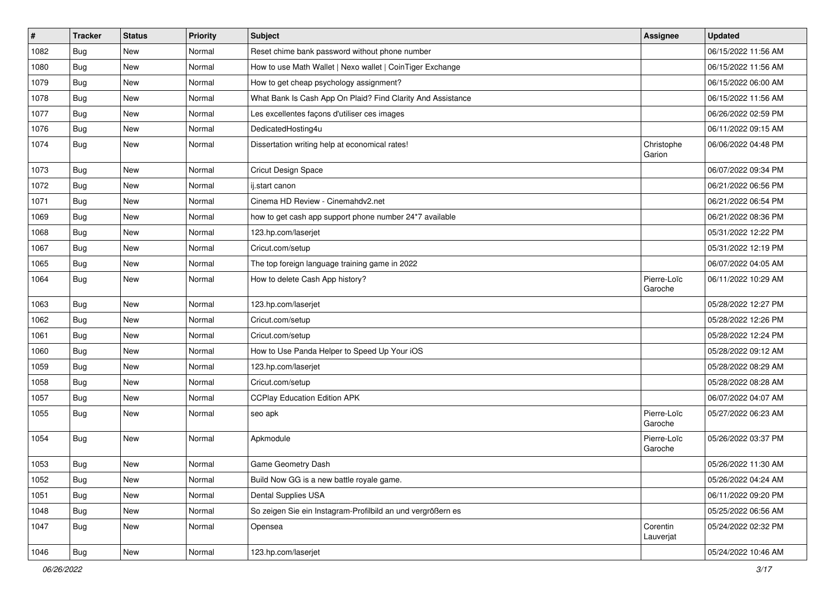| $\pmb{\#}$ | <b>Tracker</b> | <b>Status</b> | <b>Priority</b> | <b>Subject</b>                                              | <b>Assignee</b>        | <b>Updated</b>      |
|------------|----------------|---------------|-----------------|-------------------------------------------------------------|------------------------|---------------------|
| 1082       | Bug            | New           | Normal          | Reset chime bank password without phone number              |                        | 06/15/2022 11:56 AM |
| 1080       | Bug            | New           | Normal          | How to use Math Wallet   Nexo wallet   CoinTiger Exchange   |                        | 06/15/2022 11:56 AM |
| 1079       | Bug            | New           | Normal          | How to get cheap psychology assignment?                     |                        | 06/15/2022 06:00 AM |
| 1078       | Bug            | New           | Normal          | What Bank Is Cash App On Plaid? Find Clarity And Assistance |                        | 06/15/2022 11:56 AM |
| 1077       | Bug            | New           | Normal          | Les excellentes façons d'utiliser ces images                |                        | 06/26/2022 02:59 PM |
| 1076       | <b>Bug</b>     | New           | Normal          | DedicatedHosting4u                                          |                        | 06/11/2022 09:15 AM |
| 1074       | Bug            | New           | Normal          | Dissertation writing help at economical rates!              | Christophe<br>Garion   | 06/06/2022 04:48 PM |
| 1073       | Bug            | New           | Normal          | <b>Cricut Design Space</b>                                  |                        | 06/07/2022 09:34 PM |
| 1072       | Bug            | New           | Normal          | ij.start canon                                              |                        | 06/21/2022 06:56 PM |
| 1071       | <b>Bug</b>     | New           | Normal          | Cinema HD Review - Cinemahdv2.net                           |                        | 06/21/2022 06:54 PM |
| 1069       | Bug            | New           | Normal          | how to get cash app support phone number 24*7 available     |                        | 06/21/2022 08:36 PM |
| 1068       | Bug            | New           | Normal          | 123.hp.com/laserjet                                         |                        | 05/31/2022 12:22 PM |
| 1067       | Bug            | New           | Normal          | Cricut.com/setup                                            |                        | 05/31/2022 12:19 PM |
| 1065       | Bug            | New           | Normal          | The top foreign language training game in 2022              |                        | 06/07/2022 04:05 AM |
| 1064       | Bug            | New           | Normal          | How to delete Cash App history?                             | Pierre-Loïc<br>Garoche | 06/11/2022 10:29 AM |
| 1063       | Bug            | New           | Normal          | 123.hp.com/laserjet                                         |                        | 05/28/2022 12:27 PM |
| 1062       | Bug            | New           | Normal          | Cricut.com/setup                                            |                        | 05/28/2022 12:26 PM |
| 1061       | Bug            | New           | Normal          | Cricut.com/setup                                            |                        | 05/28/2022 12:24 PM |
| 1060       | Bug            | New           | Normal          | How to Use Panda Helper to Speed Up Your iOS                |                        | 05/28/2022 09:12 AM |
| 1059       | Bug            | New           | Normal          | 123.hp.com/laserjet                                         |                        | 05/28/2022 08:29 AM |
| 1058       | Bug            | New           | Normal          | Cricut.com/setup                                            |                        | 05/28/2022 08:28 AM |
| 1057       | Bug            | New           | Normal          | <b>CCPlay Education Edition APK</b>                         |                        | 06/07/2022 04:07 AM |
| 1055       | Bug            | New           | Normal          | seo apk                                                     | Pierre-Loïc<br>Garoche | 05/27/2022 06:23 AM |
| 1054       | Bug            | New           | Normal          | Apkmodule                                                   | Pierre-Loïc<br>Garoche | 05/26/2022 03:37 PM |
| 1053       | Bug            | New           | Normal          | Game Geometry Dash                                          |                        | 05/26/2022 11:30 AM |
| 1052       | <b>Bug</b>     | New           | Normal          | Build Now GG is a new battle royale game.                   |                        | 05/26/2022 04:24 AM |
| 1051       | Bug            | New           | Normal          | Dental Supplies USA                                         |                        | 06/11/2022 09:20 PM |
| 1048       | Bug            | New           | Normal          | So zeigen Sie ein Instagram-Profilbild an und vergrößern es |                        | 05/25/2022 06:56 AM |
| 1047       | Bug            | New           | Normal          | Opensea                                                     | Corentin<br>Lauverjat  | 05/24/2022 02:32 PM |
| 1046       | <b>Bug</b>     | New           | Normal          | 123.hp.com/laserjet                                         |                        | 05/24/2022 10:46 AM |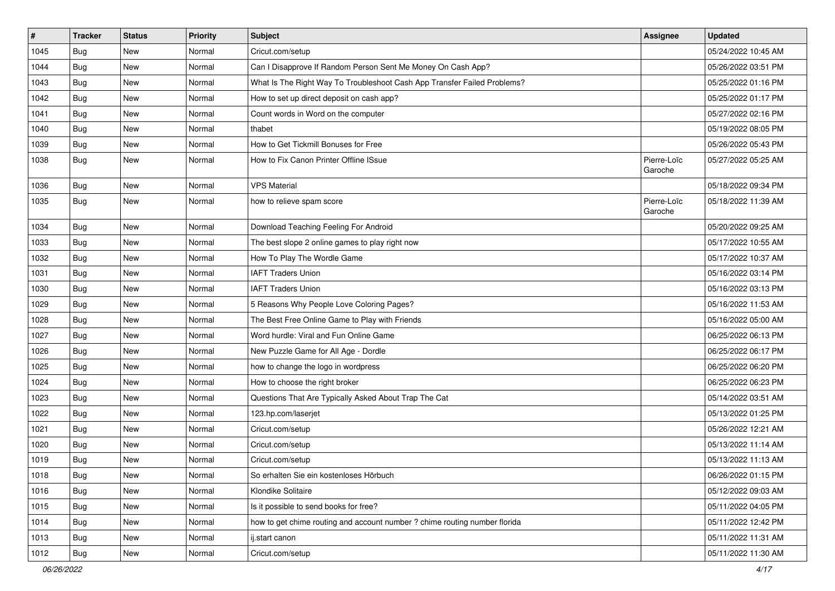| $\vert$ # | <b>Tracker</b> | <b>Status</b> | Priority | Subject                                                                    | <b>Assignee</b>        | <b>Updated</b>      |
|-----------|----------------|---------------|----------|----------------------------------------------------------------------------|------------------------|---------------------|
| 1045      | Bug            | New           | Normal   | Cricut.com/setup                                                           |                        | 05/24/2022 10:45 AM |
| 1044      | Bug            | New           | Normal   | Can I Disapprove If Random Person Sent Me Money On Cash App?               |                        | 05/26/2022 03:51 PM |
| 1043      | Bug            | New           | Normal   | What Is The Right Way To Troubleshoot Cash App Transfer Failed Problems?   |                        | 05/25/2022 01:16 PM |
| 1042      | <b>Bug</b>     | New           | Normal   | How to set up direct deposit on cash app?                                  |                        | 05/25/2022 01:17 PM |
| 1041      | Bug            | New           | Normal   | Count words in Word on the computer                                        |                        | 05/27/2022 02:16 PM |
| 1040      | <b>Bug</b>     | New           | Normal   | thabet                                                                     |                        | 05/19/2022 08:05 PM |
| 1039      | <b>Bug</b>     | New           | Normal   | How to Get Tickmill Bonuses for Free                                       |                        | 05/26/2022 05:43 PM |
| 1038      | Bug            | New           | Normal   | How to Fix Canon Printer Offline ISsue                                     | Pierre-Loïc<br>Garoche | 05/27/2022 05:25 AM |
| 1036      | Bug            | New           | Normal   | <b>VPS Material</b>                                                        |                        | 05/18/2022 09:34 PM |
| 1035      | Bug            | New           | Normal   | how to relieve spam score                                                  | Pierre-Loïc<br>Garoche | 05/18/2022 11:39 AM |
| 1034      | Bug            | New           | Normal   | Download Teaching Feeling For Android                                      |                        | 05/20/2022 09:25 AM |
| 1033      | <b>Bug</b>     | New           | Normal   | The best slope 2 online games to play right now                            |                        | 05/17/2022 10:55 AM |
| 1032      | <b>Bug</b>     | New           | Normal   | How To Play The Wordle Game                                                |                        | 05/17/2022 10:37 AM |
| 1031      | <b>Bug</b>     | New           | Normal   | <b>IAFT Traders Union</b>                                                  |                        | 05/16/2022 03:14 PM |
| 1030      | <b>Bug</b>     | New           | Normal   | <b>IAFT Traders Union</b>                                                  |                        | 05/16/2022 03:13 PM |
| 1029      | <b>Bug</b>     | New           | Normal   | 5 Reasons Why People Love Coloring Pages?                                  |                        | 05/16/2022 11:53 AM |
| 1028      | Bug            | New           | Normal   | The Best Free Online Game to Play with Friends                             |                        | 05/16/2022 05:00 AM |
| 1027      | Bug            | New           | Normal   | Word hurdle: Viral and Fun Online Game                                     |                        | 06/25/2022 06:13 PM |
| 1026      | Bug            | New           | Normal   | New Puzzle Game for All Age - Dordle                                       |                        | 06/25/2022 06:17 PM |
| 1025      | <b>Bug</b>     | New           | Normal   | how to change the logo in wordpress                                        |                        | 06/25/2022 06:20 PM |
| 1024      | <b>Bug</b>     | New           | Normal   | How to choose the right broker                                             |                        | 06/25/2022 06:23 PM |
| 1023      | Bug            | New           | Normal   | Questions That Are Typically Asked About Trap The Cat                      |                        | 05/14/2022 03:51 AM |
| 1022      | <b>Bug</b>     | New           | Normal   | 123.hp.com/laserjet                                                        |                        | 05/13/2022 01:25 PM |
| 1021      | <b>Bug</b>     | New           | Normal   | Cricut.com/setup                                                           |                        | 05/26/2022 12:21 AM |
| 1020      | <b>Bug</b>     | New           | Normal   | Cricut.com/setup                                                           |                        | 05/13/2022 11:14 AM |
| 1019      | Bug            | New           | Normal   | Cricut.com/setup                                                           |                        | 05/13/2022 11:13 AM |
| 1018      | Bug            | New           | Normal   | So erhalten Sie ein kostenloses Hörbuch                                    |                        | 06/26/2022 01:15 PM |
| 1016      | Bug            | New           | Normal   | Klondike Solitaire                                                         |                        | 05/12/2022 09:03 AM |
| 1015      | Bug            | New           | Normal   | Is it possible to send books for free?                                     |                        | 05/11/2022 04:05 PM |
| 1014      | Bug            | New           | Normal   | how to get chime routing and account number ? chime routing number florida |                        | 05/11/2022 12:42 PM |
| 1013      | Bug            | New           | Normal   | ij.start canon                                                             |                        | 05/11/2022 11:31 AM |
| 1012      | Bug            | New           | Normal   | Cricut.com/setup                                                           |                        | 05/11/2022 11:30 AM |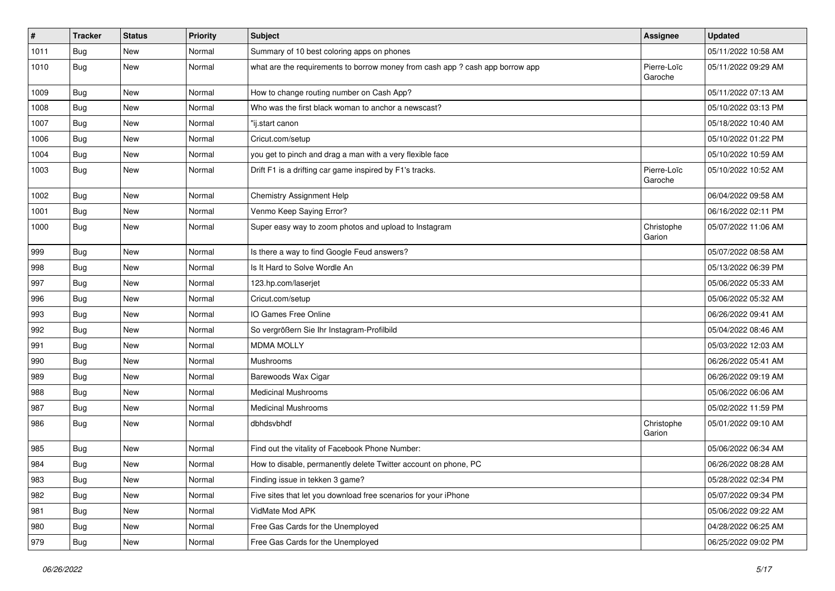| #    | <b>Tracker</b> | <b>Status</b> | <b>Priority</b> | Subject                                                                       | Assignee               | <b>Updated</b>      |
|------|----------------|---------------|-----------------|-------------------------------------------------------------------------------|------------------------|---------------------|
| 1011 | <b>Bug</b>     | New           | Normal          | Summary of 10 best coloring apps on phones                                    |                        | 05/11/2022 10:58 AM |
| 1010 | Bug            | New           | Normal          | what are the requirements to borrow money from cash app ? cash app borrow app | Pierre-Loïc<br>Garoche | 05/11/2022 09:29 AM |
| 1009 | <b>Bug</b>     | New           | Normal          | How to change routing number on Cash App?                                     |                        | 05/11/2022 07:13 AM |
| 1008 | Bug            | New           | Normal          | Who was the first black woman to anchor a newscast?                           |                        | 05/10/2022 03:13 PM |
| 1007 | Bug            | New           | Normal          | "ij.start canon                                                               |                        | 05/18/2022 10:40 AM |
| 1006 | Bug            | New           | Normal          | Cricut.com/setup                                                              |                        | 05/10/2022 01:22 PM |
| 1004 | Bug            | New           | Normal          | you get to pinch and drag a man with a very flexible face                     |                        | 05/10/2022 10:59 AM |
| 1003 | Bug            | New           | Normal          | Drift F1 is a drifting car game inspired by F1's tracks.                      | Pierre-Loïc<br>Garoche | 05/10/2022 10:52 AM |
| 1002 | <b>Bug</b>     | New           | Normal          | Chemistry Assignment Help                                                     |                        | 06/04/2022 09:58 AM |
| 1001 | Bug            | New           | Normal          | Venmo Keep Saying Error?                                                      |                        | 06/16/2022 02:11 PM |
| 1000 | Bug            | New           | Normal          | Super easy way to zoom photos and upload to Instagram                         | Christophe<br>Garion   | 05/07/2022 11:06 AM |
| 999  | <b>Bug</b>     | New           | Normal          | Is there a way to find Google Feud answers?                                   |                        | 05/07/2022 08:58 AM |
| 998  | <b>Bug</b>     | New           | Normal          | Is It Hard to Solve Wordle An                                                 |                        | 05/13/2022 06:39 PM |
| 997  | <b>Bug</b>     | New           | Normal          | 123.hp.com/laserjet                                                           |                        | 05/06/2022 05:33 AM |
| 996  | <b>Bug</b>     | New           | Normal          | Cricut.com/setup                                                              |                        | 05/06/2022 05:32 AM |
| 993  | Bug            | New           | Normal          | IO Games Free Online                                                          |                        | 06/26/2022 09:41 AM |
| 992  | Bug            | New           | Normal          | So vergrößern Sie Ihr Instagram-Profilbild                                    |                        | 05/04/2022 08:46 AM |
| 991  | <b>Bug</b>     | New           | Normal          | <b>MDMA MOLLY</b>                                                             |                        | 05/03/2022 12:03 AM |
| 990  | Bug            | New           | Normal          | Mushrooms                                                                     |                        | 06/26/2022 05:41 AM |
| 989  | <b>Bug</b>     | New           | Normal          | Barewoods Wax Cigar                                                           |                        | 06/26/2022 09:19 AM |
| 988  | Bug            | New           | Normal          | <b>Medicinal Mushrooms</b>                                                    |                        | 05/06/2022 06:06 AM |
| 987  | Bug            | New           | Normal          | <b>Medicinal Mushrooms</b>                                                    |                        | 05/02/2022 11:59 PM |
| 986  | Bug            | New           | Normal          | dbhdsvbhdf                                                                    | Christophe<br>Garion   | 05/01/2022 09:10 AM |
| 985  | Bug            | <b>New</b>    | Normal          | Find out the vitality of Facebook Phone Number:                               |                        | 05/06/2022 06:34 AM |
| 984  | Bug            | New           | Normal          | How to disable, permanently delete Twitter account on phone, PC               |                        | 06/26/2022 08:28 AM |
| 983  | <b>Bug</b>     | New           | Normal          | Finding issue in tekken 3 game?                                               |                        | 05/28/2022 02:34 PM |
| 982  | Bug            | New           | Normal          | Five sites that let you download free scenarios for your iPhone               |                        | 05/07/2022 09:34 PM |
| 981  | Bug            | New           | Normal          | VidMate Mod APK                                                               |                        | 05/06/2022 09:22 AM |
| 980  | Bug            | New           | Normal          | Free Gas Cards for the Unemployed                                             |                        | 04/28/2022 06:25 AM |
| 979  | <b>Bug</b>     | New           | Normal          | Free Gas Cards for the Unemployed                                             |                        | 06/25/2022 09:02 PM |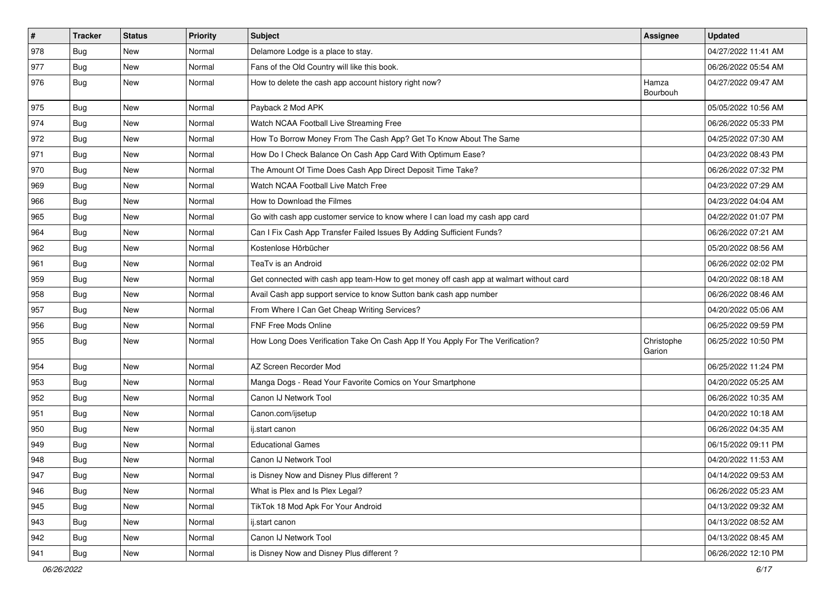| $\sharp$ | <b>Tracker</b> | <b>Status</b> | <b>Priority</b> | Subject                                                                                | <b>Assignee</b>      | <b>Updated</b>      |
|----------|----------------|---------------|-----------------|----------------------------------------------------------------------------------------|----------------------|---------------------|
| 978      | Bug            | New           | Normal          | Delamore Lodge is a place to stay.                                                     |                      | 04/27/2022 11:41 AM |
| 977      | Bug            | <b>New</b>    | Normal          | Fans of the Old Country will like this book.                                           |                      | 06/26/2022 05:54 AM |
| 976      | Bug            | New           | Normal          | How to delete the cash app account history right now?                                  | Hamza<br>Bourbouh    | 04/27/2022 09:47 AM |
| 975      | Bug            | <b>New</b>    | Normal          | Payback 2 Mod APK                                                                      |                      | 05/05/2022 10:56 AM |
| 974      | Bug            | New           | Normal          | Watch NCAA Football Live Streaming Free                                                |                      | 06/26/2022 05:33 PM |
| 972      | Bug            | <b>New</b>    | Normal          | How To Borrow Money From The Cash App? Get To Know About The Same                      |                      | 04/25/2022 07:30 AM |
| 971      | <b>Bug</b>     | New           | Normal          | How Do I Check Balance On Cash App Card With Optimum Ease?                             |                      | 04/23/2022 08:43 PM |
| 970      | <b>Bug</b>     | <b>New</b>    | Normal          | The Amount Of Time Does Cash App Direct Deposit Time Take?                             |                      | 06/26/2022 07:32 PM |
| 969      | <b>Bug</b>     | <b>New</b>    | Normal          | Watch NCAA Football Live Match Free                                                    |                      | 04/23/2022 07:29 AM |
| 966      | Bug            | New           | Normal          | How to Download the Filmes                                                             |                      | 04/23/2022 04:04 AM |
| 965      | <b>Bug</b>     | <b>New</b>    | Normal          | Go with cash app customer service to know where I can load my cash app card            |                      | 04/22/2022 01:07 PM |
| 964      | <b>Bug</b>     | New           | Normal          | Can I Fix Cash App Transfer Failed Issues By Adding Sufficient Funds?                  |                      | 06/26/2022 07:21 AM |
| 962      | Bug            | New           | Normal          | Kostenlose Hörbücher                                                                   |                      | 05/20/2022 08:56 AM |
| 961      | Bug            | <b>New</b>    | Normal          | TeaTv is an Android                                                                    |                      | 06/26/2022 02:02 PM |
| 959      | <b>Bug</b>     | New           | Normal          | Get connected with cash app team-How to get money off cash app at walmart without card |                      | 04/20/2022 08:18 AM |
| 958      | <b>Bug</b>     | New           | Normal          | Avail Cash app support service to know Sutton bank cash app number                     |                      | 06/26/2022 08:46 AM |
| 957      | Bug            | <b>New</b>    | Normal          | From Where I Can Get Cheap Writing Services?                                           |                      | 04/20/2022 05:06 AM |
| 956      | <b>Bug</b>     | New           | Normal          | FNF Free Mods Online                                                                   |                      | 06/25/2022 09:59 PM |
| 955      | <b>Bug</b>     | New           | Normal          | How Long Does Verification Take On Cash App If You Apply For The Verification?         | Christophe<br>Garion | 06/25/2022 10:50 PM |
| 954      | <b>Bug</b>     | <b>New</b>    | Normal          | AZ Screen Recorder Mod                                                                 |                      | 06/25/2022 11:24 PM |
| 953      | Bug            | <b>New</b>    | Normal          | Manga Dogs - Read Your Favorite Comics on Your Smartphone                              |                      | 04/20/2022 05:25 AM |
| 952      | <b>Bug</b>     | New           | Normal          | Canon IJ Network Tool                                                                  |                      | 06/26/2022 10:35 AM |
| 951      | <b>Bug</b>     | New           | Normal          | Canon.com/ijsetup                                                                      |                      | 04/20/2022 10:18 AM |
| 950      | Bug            | <b>New</b>    | Normal          | ij.start canon                                                                         |                      | 06/26/2022 04:35 AM |
| 949      | Bug            | New           | Normal          | <b>Educational Games</b>                                                               |                      | 06/15/2022 09:11 PM |
| 948      | <b>Bug</b>     | New           | Normal          | Canon IJ Network Tool                                                                  |                      | 04/20/2022 11:53 AM |
| 947      | Bug            | New           | Normal          | is Disney Now and Disney Plus different?                                               |                      | 04/14/2022 09:53 AM |
| 946      | <b>Bug</b>     | New           | Normal          | What is Plex and Is Plex Legal?                                                        |                      | 06/26/2022 05:23 AM |
| 945      | Bug            | New           | Normal          | TikTok 18 Mod Apk For Your Android                                                     |                      | 04/13/2022 09:32 AM |
| 943      | Bug            | New           | Normal          | ij.start canon                                                                         |                      | 04/13/2022 08:52 AM |
| 942      | <b>Bug</b>     | New           | Normal          | Canon IJ Network Tool                                                                  |                      | 04/13/2022 08:45 AM |
| 941      | <b>Bug</b>     | New           | Normal          | is Disney Now and Disney Plus different?                                               |                      | 06/26/2022 12:10 PM |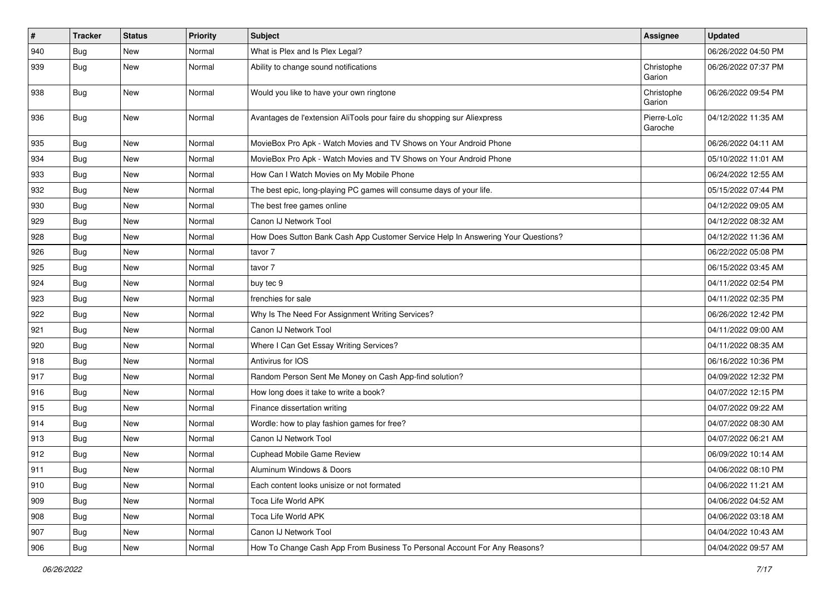| #   | <b>Tracker</b> | <b>Status</b> | <b>Priority</b> | <b>Subject</b>                                                                   | <b>Assignee</b>        | <b>Updated</b>      |
|-----|----------------|---------------|-----------------|----------------------------------------------------------------------------------|------------------------|---------------------|
| 940 | Bug            | New           | Normal          | What is Plex and Is Plex Legal?                                                  |                        | 06/26/2022 04:50 PM |
| 939 | Bug            | <b>New</b>    | Normal          | Ability to change sound notifications                                            | Christophe<br>Garion   | 06/26/2022 07:37 PM |
| 938 | <b>Bug</b>     | New           | Normal          | Would you like to have your own ringtone                                         | Christophe<br>Garion   | 06/26/2022 09:54 PM |
| 936 | Bug            | New           | Normal          | Avantages de l'extension AliTools pour faire du shopping sur Aliexpress          | Pierre-Loïc<br>Garoche | 04/12/2022 11:35 AM |
| 935 | <b>Bug</b>     | New           | Normal          | MovieBox Pro Apk - Watch Movies and TV Shows on Your Android Phone               |                        | 06/26/2022 04:11 AM |
| 934 | Bug            | <b>New</b>    | Normal          | MovieBox Pro Apk - Watch Movies and TV Shows on Your Android Phone               |                        | 05/10/2022 11:01 AM |
| 933 | Bug            | New           | Normal          | How Can I Watch Movies on My Mobile Phone                                        |                        | 06/24/2022 12:55 AM |
| 932 | Bug            | New           | Normal          | The best epic, long-playing PC games will consume days of your life.             |                        | 05/15/2022 07:44 PM |
| 930 | <b>Bug</b>     | New           | Normal          | The best free games online                                                       |                        | 04/12/2022 09:05 AM |
| 929 | <b>Bug</b>     | New           | Normal          | Canon IJ Network Tool                                                            |                        | 04/12/2022 08:32 AM |
| 928 | Bug            | New           | Normal          | How Does Sutton Bank Cash App Customer Service Help In Answering Your Questions? |                        | 04/12/2022 11:36 AM |
| 926 | Bug            | <b>New</b>    | Normal          | tavor 7                                                                          |                        | 06/22/2022 05:08 PM |
| 925 | <b>Bug</b>     | New           | Normal          | tavor 7                                                                          |                        | 06/15/2022 03:45 AM |
| 924 | Bug            | New           | Normal          | buy tec 9                                                                        |                        | 04/11/2022 02:54 PM |
| 923 | Bug            | <b>New</b>    | Normal          | frenchies for sale                                                               |                        | 04/11/2022 02:35 PM |
| 922 | <b>Bug</b>     | New           | Normal          | Why Is The Need For Assignment Writing Services?                                 |                        | 06/26/2022 12:42 PM |
| 921 | Bug            | New           | Normal          | Canon IJ Network Tool                                                            |                        | 04/11/2022 09:00 AM |
| 920 | <b>Bug</b>     | New           | Normal          | Where I Can Get Essay Writing Services?                                          |                        | 04/11/2022 08:35 AM |
| 918 | <b>Bug</b>     | New           | Normal          | Antivirus for IOS                                                                |                        | 06/16/2022 10:36 PM |
| 917 | Bug            | New           | Normal          | Random Person Sent Me Money on Cash App-find solution?                           |                        | 04/09/2022 12:32 PM |
| 916 | Bug            | New           | Normal          | How long does it take to write a book?                                           |                        | 04/07/2022 12:15 PM |
| 915 | Bug            | New           | Normal          | Finance dissertation writing                                                     |                        | 04/07/2022 09:22 AM |
| 914 | <b>Bug</b>     | New           | Normal          | Wordle: how to play fashion games for free?                                      |                        | 04/07/2022 08:30 AM |
| 913 | Bug            | New           | Normal          | Canon IJ Network Tool                                                            |                        | 04/07/2022 06:21 AM |
| 912 | <b>Bug</b>     | <b>New</b>    | Normal          | Cuphead Mobile Game Review                                                       |                        | 06/09/2022 10:14 AM |
| 911 | Bug            | New           | Normal          | Aluminum Windows & Doors                                                         |                        | 04/06/2022 08:10 PM |
| 910 | <b>Bug</b>     | New           | Normal          | Each content looks unisize or not formated                                       |                        | 04/06/2022 11:21 AM |
| 909 | Bug            | New           | Normal          | Toca Life World APK                                                              |                        | 04/06/2022 04:52 AM |
| 908 | <b>Bug</b>     | New           | Normal          | Toca Life World APK                                                              |                        | 04/06/2022 03:18 AM |
| 907 | <b>Bug</b>     | New           | Normal          | Canon IJ Network Tool                                                            |                        | 04/04/2022 10:43 AM |
| 906 | Bug            | New           | Normal          | How To Change Cash App From Business To Personal Account For Any Reasons?        |                        | 04/04/2022 09:57 AM |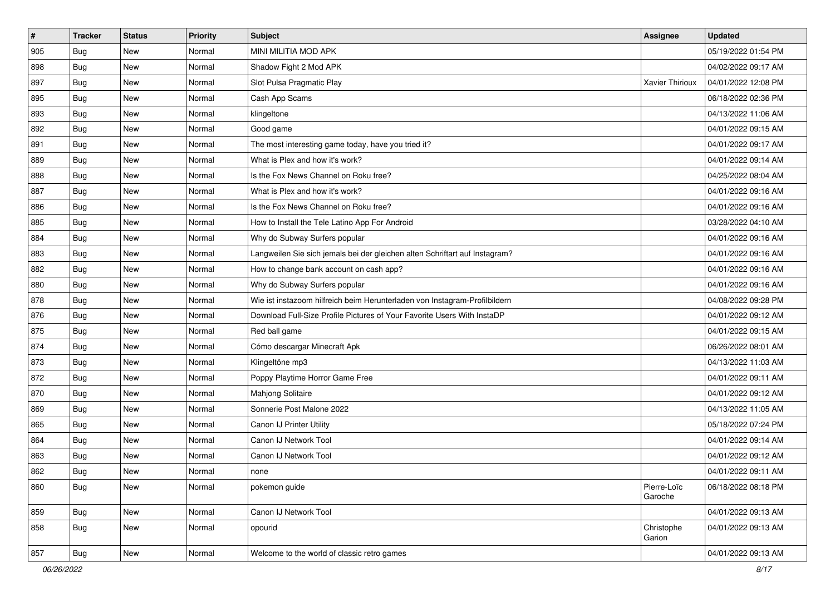| #   | <b>Tracker</b> | <b>Status</b> | <b>Priority</b> | Subject                                                                     | <b>Assignee</b>        | <b>Updated</b>      |
|-----|----------------|---------------|-----------------|-----------------------------------------------------------------------------|------------------------|---------------------|
| 905 | Bug            | New           | Normal          | MINI MILITIA MOD APK                                                        |                        | 05/19/2022 01:54 PM |
| 898 | Bug            | <b>New</b>    | Normal          | Shadow Fight 2 Mod APK                                                      |                        | 04/02/2022 09:17 AM |
| 897 | Bug            | New           | Normal          | Slot Pulsa Pragmatic Play                                                   | <b>Xavier Thirioux</b> | 04/01/2022 12:08 PM |
| 895 | Bug            | New           | Normal          | Cash App Scams                                                              |                        | 06/18/2022 02:36 PM |
| 893 | <b>Bug</b>     | <b>New</b>    | Normal          | klingeltone                                                                 |                        | 04/13/2022 11:06 AM |
| 892 | <b>Bug</b>     | New           | Normal          | Good game                                                                   |                        | 04/01/2022 09:15 AM |
| 891 | Bug            | <b>New</b>    | Normal          | The most interesting game today, have you tried it?                         |                        | 04/01/2022 09:17 AM |
| 889 | <b>Bug</b>     | New           | Normal          | What is Plex and how it's work?                                             |                        | 04/01/2022 09:14 AM |
| 888 | <b>Bug</b>     | New           | Normal          | Is the Fox News Channel on Roku free?                                       |                        | 04/25/2022 08:04 AM |
| 887 | Bug            | <b>New</b>    | Normal          | What is Plex and how it's work?                                             |                        | 04/01/2022 09:16 AM |
| 886 | <b>Bug</b>     | New           | Normal          | Is the Fox News Channel on Roku free?                                       |                        | 04/01/2022 09:16 AM |
| 885 | <b>Bug</b>     | New           | Normal          | How to Install the Tele Latino App For Android                              |                        | 03/28/2022 04:10 AM |
| 884 | <b>Bug</b>     | New           | Normal          | Why do Subway Surfers popular                                               |                        | 04/01/2022 09:16 AM |
| 883 | <b>Bug</b>     | <b>New</b>    | Normal          | Langweilen Sie sich jemals bei der gleichen alten Schriftart auf Instagram? |                        | 04/01/2022 09:16 AM |
| 882 | Bug            | New           | Normal          | How to change bank account on cash app?                                     |                        | 04/01/2022 09:16 AM |
| 880 | Bug            | New           | Normal          | Why do Subway Surfers popular                                               |                        | 04/01/2022 09:16 AM |
| 878 | <b>Bug</b>     | New           | Normal          | Wie ist instazoom hilfreich beim Herunterladen von Instagram-Profilbildern  |                        | 04/08/2022 09:28 PM |
| 876 | <b>Bug</b>     | <b>New</b>    | Normal          | Download Full-Size Profile Pictures of Your Favorite Users With InstaDP     |                        | 04/01/2022 09:12 AM |
| 875 | Bug            | <b>New</b>    | Normal          | Red ball game                                                               |                        | 04/01/2022 09:15 AM |
| 874 | Bug            | <b>New</b>    | Normal          | Cómo descargar Minecraft Apk                                                |                        | 06/26/2022 08:01 AM |
| 873 | <b>Bug</b>     | New           | Normal          | Klingeltöne mp3                                                             |                        | 04/13/2022 11:03 AM |
| 872 | Bug            | <b>New</b>    | Normal          | Poppy Playtime Horror Game Free                                             |                        | 04/01/2022 09:11 AM |
| 870 | Bug            | <b>New</b>    | Normal          | Mahjong Solitaire                                                           |                        | 04/01/2022 09:12 AM |
| 869 | <b>Bug</b>     | New           | Normal          | Sonnerie Post Malone 2022                                                   |                        | 04/13/2022 11:05 AM |
| 865 | Bug            | New           | Normal          | Canon IJ Printer Utility                                                    |                        | 05/18/2022 07:24 PM |
| 864 | Bug            | New           | Normal          | Canon IJ Network Tool                                                       |                        | 04/01/2022 09:14 AM |
| 863 | <b>Bug</b>     | <b>New</b>    | Normal          | Canon IJ Network Tool                                                       |                        | 04/01/2022 09:12 AM |
| 862 | <b>Bug</b>     | New           | Normal          | none                                                                        |                        | 04/01/2022 09:11 AM |
| 860 | Bug            | New           | Normal          | pokemon guide                                                               | Pierre-Loïc<br>Garoche | 06/18/2022 08:18 PM |
| 859 | Bug            | New           | Normal          | Canon IJ Network Tool                                                       |                        | 04/01/2022 09:13 AM |
| 858 | Bug            | New           | Normal          | opourid                                                                     | Christophe<br>Garion   | 04/01/2022 09:13 AM |
| 857 | <b>Bug</b>     | New           | Normal          | Welcome to the world of classic retro games                                 |                        | 04/01/2022 09:13 AM |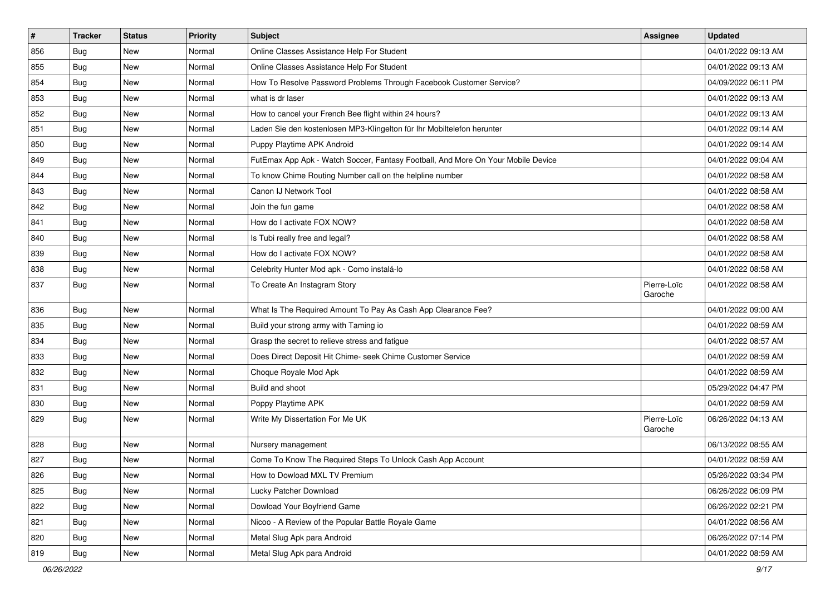| $\sharp$ | <b>Tracker</b> | <b>Status</b> | <b>Priority</b> | <b>Subject</b>                                                                   | Assignee               | <b>Updated</b>      |
|----------|----------------|---------------|-----------------|----------------------------------------------------------------------------------|------------------------|---------------------|
| 856      | Bug            | New           | Normal          | Online Classes Assistance Help For Student                                       |                        | 04/01/2022 09:13 AM |
| 855      | Bug            | <b>New</b>    | Normal          | Online Classes Assistance Help For Student                                       |                        | 04/01/2022 09:13 AM |
| 854      | <b>Bug</b>     | New           | Normal          | How To Resolve Password Problems Through Facebook Customer Service?              |                        | 04/09/2022 06:11 PM |
| 853      | <b>Bug</b>     | New           | Normal          | what is dr laser                                                                 |                        | 04/01/2022 09:13 AM |
| 852      | <b>Bug</b>     | New           | Normal          | How to cancel your French Bee flight within 24 hours?                            |                        | 04/01/2022 09:13 AM |
| 851      | <b>Bug</b>     | New           | Normal          | Laden Sie den kostenlosen MP3-Klingelton für Ihr Mobiltelefon herunter           |                        | 04/01/2022 09:14 AM |
| 850      | Bug            | <b>New</b>    | Normal          | Puppy Playtime APK Android                                                       |                        | 04/01/2022 09:14 AM |
| 849      | <b>Bug</b>     | New           | Normal          | FutEmax App Apk - Watch Soccer, Fantasy Football, And More On Your Mobile Device |                        | 04/01/2022 09:04 AM |
| 844      | <b>Bug</b>     | New           | Normal          | To know Chime Routing Number call on the helpline number                         |                        | 04/01/2022 08:58 AM |
| 843      | Bug            | <b>New</b>    | Normal          | Canon IJ Network Tool                                                            |                        | 04/01/2022 08:58 AM |
| 842      | <b>Bug</b>     | New           | Normal          | Join the fun game                                                                |                        | 04/01/2022 08:58 AM |
| 841      | <b>Bug</b>     | New           | Normal          | How do I activate FOX NOW?                                                       |                        | 04/01/2022 08:58 AM |
| 840      | <b>Bug</b>     | New           | Normal          | Is Tubi really free and legal?                                                   |                        | 04/01/2022 08:58 AM |
| 839      | <b>Bug</b>     | <b>New</b>    | Normal          | How do I activate FOX NOW?                                                       |                        | 04/01/2022 08:58 AM |
| 838      | Bug            | <b>New</b>    | Normal          | Celebrity Hunter Mod apk - Como instalá-lo                                       |                        | 04/01/2022 08:58 AM |
| 837      | Bug            | New           | Normal          | To Create An Instagram Story                                                     | Pierre-Loïc<br>Garoche | 04/01/2022 08:58 AM |
| 836      | Bug            | <b>New</b>    | Normal          | What Is The Required Amount To Pay As Cash App Clearance Fee?                    |                        | 04/01/2022 09:00 AM |
| 835      | <b>Bug</b>     | <b>New</b>    | Normal          | Build your strong army with Taming io                                            |                        | 04/01/2022 08:59 AM |
| 834      | Bug            | <b>New</b>    | Normal          | Grasp the secret to relieve stress and fatigue                                   |                        | 04/01/2022 08:57 AM |
| 833      | <b>Bug</b>     | New           | Normal          | Does Direct Deposit Hit Chime- seek Chime Customer Service                       |                        | 04/01/2022 08:59 AM |
| 832      | <b>Bug</b>     | <b>New</b>    | Normal          | Choque Royale Mod Apk                                                            |                        | 04/01/2022 08:59 AM |
| 831      | Bug            | <b>New</b>    | Normal          | Build and shoot                                                                  |                        | 05/29/2022 04:47 PM |
| 830      | <b>Bug</b>     | New           | Normal          | Poppy Playtime APK                                                               |                        | 04/01/2022 08:59 AM |
| 829      | <b>Bug</b>     | New           | Normal          | Write My Dissertation For Me UK                                                  | Pierre-Loïc<br>Garoche | 06/26/2022 04:13 AM |
| 828      | <b>Bug</b>     | New           | Normal          | Nursery management                                                               |                        | 06/13/2022 08:55 AM |
| 827      | <b>Bug</b>     | New           | Normal          | Come To Know The Required Steps To Unlock Cash App Account                       |                        | 04/01/2022 08:59 AM |
| 826      | Bug            | New           | Normal          | How to Dowload MXL TV Premium                                                    |                        | 05/26/2022 03:34 PM |
| 825      | Bug            | New           | Normal          | Lucky Patcher Download                                                           |                        | 06/26/2022 06:09 PM |
| 822      | Bug            | New           | Normal          | Dowload Your Boyfriend Game                                                      |                        | 06/26/2022 02:21 PM |
| 821      | Bug            | New           | Normal          | Nicoo - A Review of the Popular Battle Royale Game                               |                        | 04/01/2022 08:56 AM |
| 820      | Bug            | New           | Normal          | Metal Slug Apk para Android                                                      |                        | 06/26/2022 07:14 PM |
| 819      | <b>Bug</b>     | New           | Normal          | Metal Slug Apk para Android                                                      |                        | 04/01/2022 08:59 AM |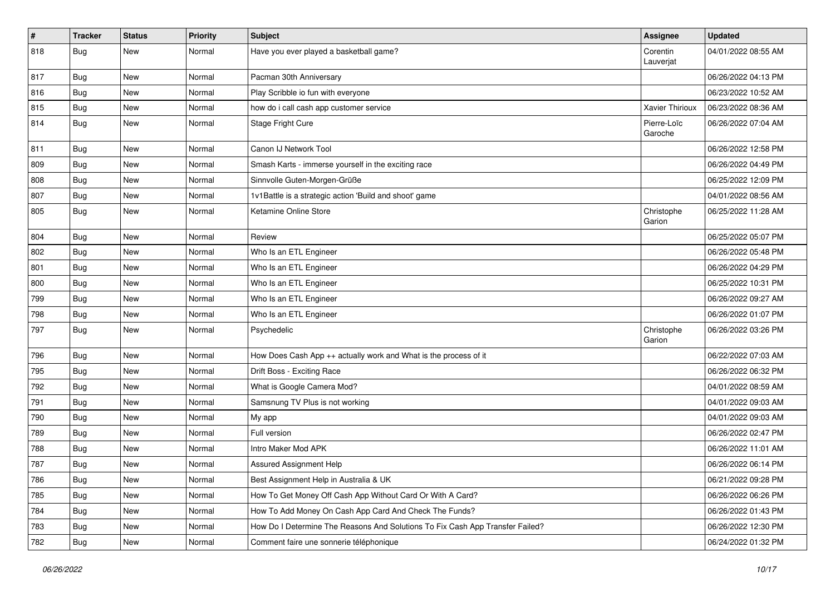| #   | <b>Tracker</b> | <b>Status</b> | <b>Priority</b> | <b>Subject</b>                                                                | <b>Assignee</b>        | <b>Updated</b>      |
|-----|----------------|---------------|-----------------|-------------------------------------------------------------------------------|------------------------|---------------------|
| 818 | Bug            | <b>New</b>    | Normal          | Have you ever played a basketball game?                                       | Corentin<br>Lauverjat  | 04/01/2022 08:55 AM |
| 817 | Bug            | <b>New</b>    | Normal          | Pacman 30th Anniversary                                                       |                        | 06/26/2022 04:13 PM |
| 816 | Bug            | New           | Normal          | Play Scribble io fun with everyone                                            |                        | 06/23/2022 10:52 AM |
| 815 | Bug            | <b>New</b>    | Normal          | how do i call cash app customer service                                       | Xavier Thirioux        | 06/23/2022 08:36 AM |
| 814 | Bug            | New           | Normal          | Stage Fright Cure                                                             | Pierre-Loïc<br>Garoche | 06/26/2022 07:04 AM |
| 811 | Bug            | New           | Normal          | Canon IJ Network Tool                                                         |                        | 06/26/2022 12:58 PM |
| 809 | Bug            | <b>New</b>    | Normal          | Smash Karts - immerse yourself in the exciting race                           |                        | 06/26/2022 04:49 PM |
| 808 | Bug            | New           | Normal          | Sinnvolle Guten-Morgen-Grüße                                                  |                        | 06/25/2022 12:09 PM |
| 807 | Bug            | New           | Normal          | 1v1Battle is a strategic action 'Build and shoot' game                        |                        | 04/01/2022 08:56 AM |
| 805 | Bug            | New           | Normal          | Ketamine Online Store                                                         | Christophe<br>Garion   | 06/25/2022 11:28 AM |
| 804 | Bug            | New           | Normal          | Review                                                                        |                        | 06/25/2022 05:07 PM |
| 802 | Bug            | <b>New</b>    | Normal          | Who Is an ETL Engineer                                                        |                        | 06/26/2022 05:48 PM |
| 801 | <b>Bug</b>     | New           | Normal          | Who Is an ETL Engineer                                                        |                        | 06/26/2022 04:29 PM |
| 800 | <b>Bug</b>     | New           | Normal          | Who Is an ETL Engineer                                                        |                        | 06/25/2022 10:31 PM |
| 799 | Bug            | New           | Normal          | Who Is an ETL Engineer                                                        |                        | 06/26/2022 09:27 AM |
| 798 | Bug            | New           | Normal          | Who Is an ETL Engineer                                                        |                        | 06/26/2022 01:07 PM |
| 797 | Bug            | New           | Normal          | Psychedelic                                                                   | Christophe<br>Garion   | 06/26/2022 03:26 PM |
| 796 | Bug            | New           | Normal          | How Does Cash App ++ actually work and What is the process of it              |                        | 06/22/2022 07:03 AM |
| 795 | Bug            | New           | Normal          | Drift Boss - Exciting Race                                                    |                        | 06/26/2022 06:32 PM |
| 792 | Bug            | New           | Normal          | What is Google Camera Mod?                                                    |                        | 04/01/2022 08:59 AM |
| 791 | <b>Bug</b>     | New           | Normal          | Samsnung TV Plus is not working                                               |                        | 04/01/2022 09:03 AM |
| 790 | Bug            | <b>New</b>    | Normal          | My app                                                                        |                        | 04/01/2022 09:03 AM |
| 789 | <b>Bug</b>     | New           | Normal          | Full version                                                                  |                        | 06/26/2022 02:47 PM |
| 788 | <b>Bug</b>     | New           | Normal          | Intro Maker Mod APK                                                           |                        | 06/26/2022 11:01 AM |
| 787 | Bug            | New           | Normal          | Assured Assignment Help                                                       |                        | 06/26/2022 06:14 PM |
| 786 | <b>Bug</b>     | New           | Normal          | Best Assignment Help in Australia & UK                                        |                        | 06/21/2022 09:28 PM |
| 785 | Bug            | New           | Normal          | How To Get Money Off Cash App Without Card Or With A Card?                    |                        | 06/26/2022 06:26 PM |
| 784 | Bug            | New           | Normal          | How To Add Money On Cash App Card And Check The Funds?                        |                        | 06/26/2022 01:43 PM |
| 783 | <b>Bug</b>     | New           | Normal          | How Do I Determine The Reasons And Solutions To Fix Cash App Transfer Failed? |                        | 06/26/2022 12:30 PM |
| 782 | <b>Bug</b>     | New           | Normal          | Comment faire une sonnerie téléphonique                                       |                        | 06/24/2022 01:32 PM |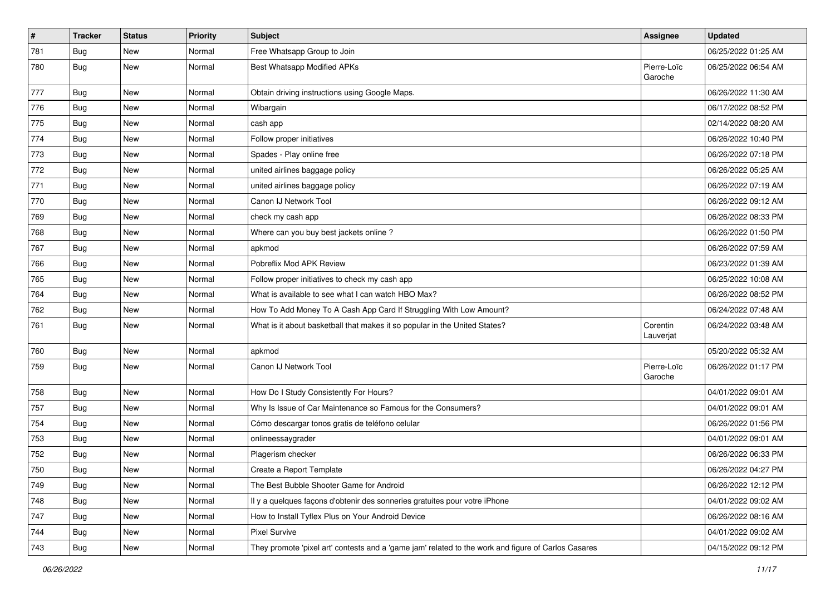| $\vert$ # | <b>Tracker</b> | <b>Status</b> | <b>Priority</b> | <b>Subject</b>                                                                                      | Assignee               | <b>Updated</b>      |
|-----------|----------------|---------------|-----------------|-----------------------------------------------------------------------------------------------------|------------------------|---------------------|
| 781       | Bug            | New           | Normal          | Free Whatsapp Group to Join                                                                         |                        | 06/25/2022 01:25 AM |
| 780       | <b>Bug</b>     | New           | Normal          | Best Whatsapp Modified APKs                                                                         | Pierre-Loïc<br>Garoche | 06/25/2022 06:54 AM |
| 777       | <b>Bug</b>     | <b>New</b>    | Normal          | Obtain driving instructions using Google Maps.                                                      |                        | 06/26/2022 11:30 AM |
| 776       | Bug            | New           | Normal          | Wibargain                                                                                           |                        | 06/17/2022 08:52 PM |
| 775       | Bug            | New           | Normal          | cash app                                                                                            |                        | 02/14/2022 08:20 AM |
| 774       | <b>Bug</b>     | New           | Normal          | Follow proper initiatives                                                                           |                        | 06/26/2022 10:40 PM |
| 773       | <b>Bug</b>     | New           | Normal          | Spades - Play online free                                                                           |                        | 06/26/2022 07:18 PM |
| 772       | <b>Bug</b>     | New           | Normal          | united airlines baggage policy                                                                      |                        | 06/26/2022 05:25 AM |
| 771       | <b>Bug</b>     | New           | Normal          | united airlines baggage policy                                                                      |                        | 06/26/2022 07:19 AM |
| 770       | Bug            | New           | Normal          | Canon IJ Network Tool                                                                               |                        | 06/26/2022 09:12 AM |
| 769       | Bug            | New           | Normal          | check my cash app                                                                                   |                        | 06/26/2022 08:33 PM |
| 768       | Bug            | New           | Normal          | Where can you buy best jackets online?                                                              |                        | 06/26/2022 01:50 PM |
| 767       | Bug            | New           | Normal          | apkmod                                                                                              |                        | 06/26/2022 07:59 AM |
| 766       | Bug            | <b>New</b>    | Normal          | Pobreflix Mod APK Review                                                                            |                        | 06/23/2022 01:39 AM |
| 765       | Bug            | New           | Normal          | Follow proper initiatives to check my cash app                                                      |                        | 06/25/2022 10:08 AM |
| 764       | <b>Bug</b>     | New           | Normal          | What is available to see what I can watch HBO Max?                                                  |                        | 06/26/2022 08:52 PM |
| 762       | Bug            | New           | Normal          | How To Add Money To A Cash App Card If Struggling With Low Amount?                                  |                        | 06/24/2022 07:48 AM |
| 761       | <b>Bug</b>     | New           | Normal          | What is it about basketball that makes it so popular in the United States?                          | Corentin<br>Lauverjat  | 06/24/2022 03:48 AM |
| 760       | Bug            | New           | Normal          | apkmod                                                                                              |                        | 05/20/2022 05:32 AM |
| 759       | Bug            | New           | Normal          | Canon IJ Network Tool                                                                               | Pierre-Loïc<br>Garoche | 06/26/2022 01:17 PM |
| 758       | Bug            | New           | Normal          | How Do I Study Consistently For Hours?                                                              |                        | 04/01/2022 09:01 AM |
| 757       | <b>Bug</b>     | New           | Normal          | Why Is Issue of Car Maintenance so Famous for the Consumers?                                        |                        | 04/01/2022 09:01 AM |
| 754       | Bug            | New           | Normal          | Cómo descargar tonos gratis de teléfono celular                                                     |                        | 06/26/2022 01:56 PM |
| 753       | Bug            | New           | Normal          | onlineessaygrader                                                                                   |                        | 04/01/2022 09:01 AM |
| 752       | <b>Bug</b>     | New           | Normal          | Plagerism checker                                                                                   |                        | 06/26/2022 06:33 PM |
| 750       | Bug            | New           | Normal          | Create a Report Template                                                                            |                        | 06/26/2022 04:27 PM |
| 749       | Bug            | New           | Normal          | The Best Bubble Shooter Game for Android                                                            |                        | 06/26/2022 12:12 PM |
| 748       | <b>Bug</b>     | New           | Normal          | Il y a quelques façons d'obtenir des sonneries gratuites pour votre iPhone                          |                        | 04/01/2022 09:02 AM |
| 747       | <b>Bug</b>     | New           | Normal          | How to Install Tyflex Plus on Your Android Device                                                   |                        | 06/26/2022 08:16 AM |
| 744       | Bug            | New           | Normal          | <b>Pixel Survive</b>                                                                                |                        | 04/01/2022 09:02 AM |
| 743       | <b>Bug</b>     | New           | Normal          | They promote 'pixel art' contests and a 'game jam' related to the work and figure of Carlos Casares |                        | 04/15/2022 09:12 PM |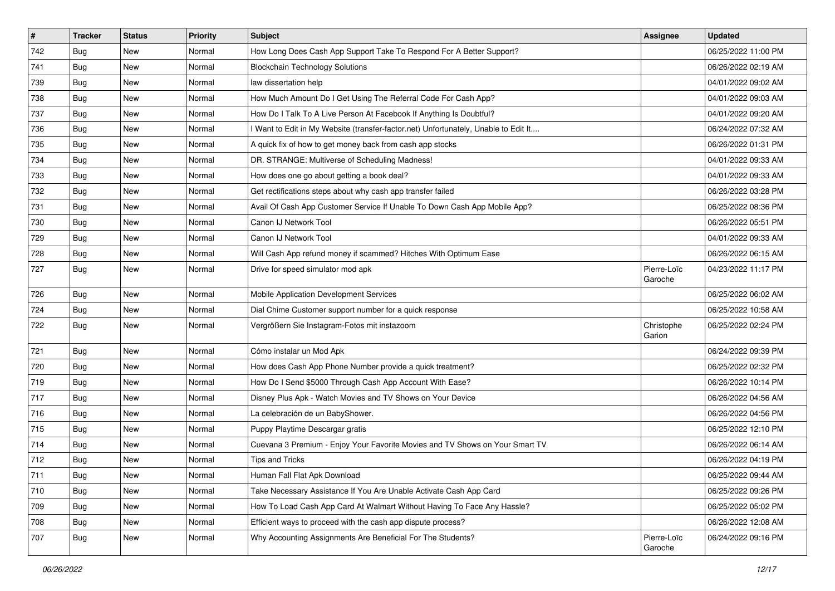| $\vert$ # | <b>Tracker</b> | <b>Status</b> | <b>Priority</b> | <b>Subject</b>                                                                      | Assignee               | <b>Updated</b>      |
|-----------|----------------|---------------|-----------------|-------------------------------------------------------------------------------------|------------------------|---------------------|
| 742       | Bug            | New           | Normal          | How Long Does Cash App Support Take To Respond For A Better Support?                |                        | 06/25/2022 11:00 PM |
| 741       | Bug            | New           | Normal          | <b>Blockchain Technology Solutions</b>                                              |                        | 06/26/2022 02:19 AM |
| 739       | Bug            | New           | Normal          | law dissertation help                                                               |                        | 04/01/2022 09:02 AM |
| 738       | <b>Bug</b>     | New           | Normal          | How Much Amount Do I Get Using The Referral Code For Cash App?                      |                        | 04/01/2022 09:03 AM |
| 737       | Bug            | New           | Normal          | How Do I Talk To A Live Person At Facebook If Anything Is Doubtful?                 |                        | 04/01/2022 09:20 AM |
| 736       | Bug            | New           | Normal          | I Want to Edit in My Website (transfer-factor.net) Unfortunately, Unable to Edit It |                        | 06/24/2022 07:32 AM |
| 735       | <b>Bug</b>     | New           | Normal          | A quick fix of how to get money back from cash app stocks                           |                        | 06/26/2022 01:31 PM |
| 734       | <b>Bug</b>     | New           | Normal          | DR. STRANGE: Multiverse of Scheduling Madness!                                      |                        | 04/01/2022 09:33 AM |
| 733       | Bug            | New           | Normal          | How does one go about getting a book deal?                                          |                        | 04/01/2022 09:33 AM |
| 732       | Bug            | New           | Normal          | Get rectifications steps about why cash app transfer failed                         |                        | 06/26/2022 03:28 PM |
| 731       | <b>Bug</b>     | New           | Normal          | Avail Of Cash App Customer Service If Unable To Down Cash App Mobile App?           |                        | 06/25/2022 08:36 PM |
| 730       | <b>Bug</b>     | New           | Normal          | Canon IJ Network Tool                                                               |                        | 06/26/2022 05:51 PM |
| 729       | Bug            | <b>New</b>    | Normal          | Canon IJ Network Tool                                                               |                        | 04/01/2022 09:33 AM |
| 728       | Bug            | New           | Normal          | Will Cash App refund money if scammed? Hitches With Optimum Ease                    |                        | 06/26/2022 06:15 AM |
| 727       | <b>Bug</b>     | New           | Normal          | Drive for speed simulator mod apk                                                   | Pierre-Loïc<br>Garoche | 04/23/2022 11:17 PM |
| 726       | <b>Bug</b>     | <b>New</b>    | Normal          | Mobile Application Development Services                                             |                        | 06/25/2022 06:02 AM |
| 724       | Bug            | New           | Normal          | Dial Chime Customer support number for a quick response                             |                        | 06/25/2022 10:58 AM |
| 722       | <b>Bug</b>     | New           | Normal          | Vergrößern Sie Instagram-Fotos mit instazoom                                        | Christophe<br>Garion   | 06/25/2022 02:24 PM |
| 721       | Bug            | New           | Normal          | Cómo instalar un Mod Apk                                                            |                        | 06/24/2022 09:39 PM |
| 720       | Bug            | New           | Normal          | How does Cash App Phone Number provide a quick treatment?                           |                        | 06/25/2022 02:32 PM |
| 719       | Bug            | <b>New</b>    | Normal          | How Do I Send \$5000 Through Cash App Account With Ease?                            |                        | 06/26/2022 10:14 PM |
| 717       | Bug            | New           | Normal          | Disney Plus Apk - Watch Movies and TV Shows on Your Device                          |                        | 06/26/2022 04:56 AM |
| 716       | <b>Bug</b>     | New           | Normal          | La celebración de un BabyShower.                                                    |                        | 06/26/2022 04:56 PM |
| 715       | Bug            | New           | Normal          | Puppy Playtime Descargar gratis                                                     |                        | 06/25/2022 12:10 PM |
| 714       | Bug            | New           | Normal          | Cuevana 3 Premium - Enjoy Your Favorite Movies and TV Shows on Your Smart TV        |                        | 06/26/2022 06:14 AM |
| 712       | <b>Bug</b>     | New           | Normal          | <b>Tips and Tricks</b>                                                              |                        | 06/26/2022 04:19 PM |
| 711       | Bug            | New           | Normal          | Human Fall Flat Apk Download                                                        |                        | 06/25/2022 09:44 AM |
| 710       | <b>Bug</b>     | New           | Normal          | Take Necessary Assistance If You Are Unable Activate Cash App Card                  |                        | 06/25/2022 09:26 PM |
| 709       | Bug            | New           | Normal          | How To Load Cash App Card At Walmart Without Having To Face Any Hassle?             |                        | 06/25/2022 05:02 PM |
| 708       | <b>Bug</b>     | New           | Normal          | Efficient ways to proceed with the cash app dispute process?                        |                        | 06/26/2022 12:08 AM |
| 707       | <b>Bug</b>     | New           | Normal          | Why Accounting Assignments Are Beneficial For The Students?                         | Pierre-Loïc<br>Garoche | 06/24/2022 09:16 PM |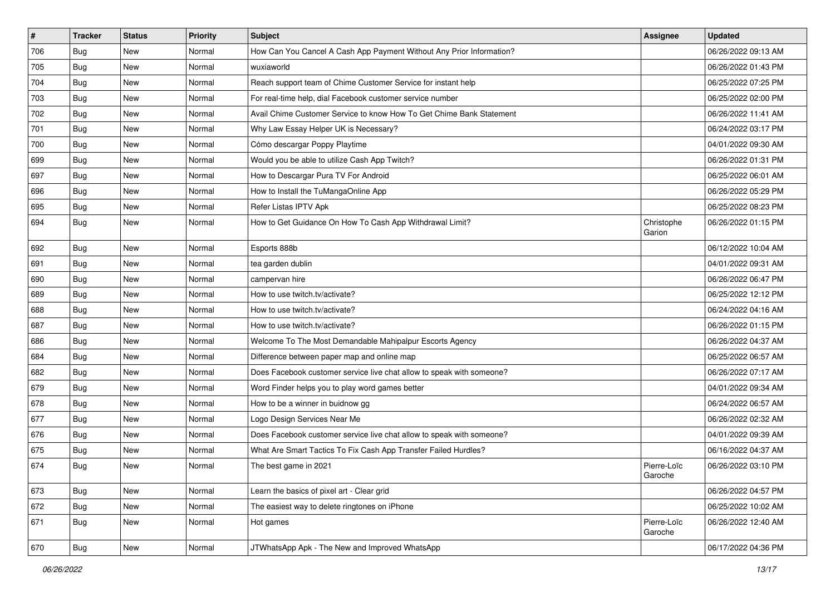| $\vert$ # | <b>Tracker</b> | <b>Status</b> | <b>Priority</b> | <b>Subject</b>                                                        | <b>Assignee</b>        | <b>Updated</b>      |
|-----------|----------------|---------------|-----------------|-----------------------------------------------------------------------|------------------------|---------------------|
| 706       | Bug            | New           | Normal          | How Can You Cancel A Cash App Payment Without Any Prior Information?  |                        | 06/26/2022 09:13 AM |
| 705       | Bug            | New           | Normal          | wuxiaworld                                                            |                        | 06/26/2022 01:43 PM |
| 704       | Bug            | New           | Normal          | Reach support team of Chime Customer Service for instant help         |                        | 06/25/2022 07:25 PM |
| 703       | <b>Bug</b>     | New           | Normal          | For real-time help, dial Facebook customer service number             |                        | 06/25/2022 02:00 PM |
| 702       | Bug            | New           | Normal          | Avail Chime Customer Service to know How To Get Chime Bank Statement  |                        | 06/26/2022 11:41 AM |
| 701       | Bug            | New           | Normal          | Why Law Essay Helper UK is Necessary?                                 |                        | 06/24/2022 03:17 PM |
| 700       | Bug            | New           | Normal          | Cómo descargar Poppy Playtime                                         |                        | 04/01/2022 09:30 AM |
| 699       | Bug            | New           | Normal          | Would you be able to utilize Cash App Twitch?                         |                        | 06/26/2022 01:31 PM |
| 697       | Bug            | New           | Normal          | How to Descargar Pura TV For Android                                  |                        | 06/25/2022 06:01 AM |
| 696       | Bug            | New           | Normal          | How to Install the TuMangaOnline App                                  |                        | 06/26/2022 05:29 PM |
| 695       | Bug            | New           | Normal          | Refer Listas IPTV Apk                                                 |                        | 06/25/2022 08:23 PM |
| 694       | Bug            | New           | Normal          | How to Get Guidance On How To Cash App Withdrawal Limit?              | Christophe<br>Garion   | 06/26/2022 01:15 PM |
| 692       | Bug            | New           | Normal          | Esports 888b                                                          |                        | 06/12/2022 10:04 AM |
| 691       | Bug            | New           | Normal          | tea garden dublin                                                     |                        | 04/01/2022 09:31 AM |
| 690       | Bug            | New           | Normal          | campervan hire                                                        |                        | 06/26/2022 06:47 PM |
| 689       | <b>Bug</b>     | New           | Normal          | How to use twitch.tv/activate?                                        |                        | 06/25/2022 12:12 PM |
| 688       | Bug            | New           | Normal          | How to use twitch.tv/activate?                                        |                        | 06/24/2022 04:16 AM |
| 687       | <b>Bug</b>     | New           | Normal          | How to use twitch.tv/activate?                                        |                        | 06/26/2022 01:15 PM |
| 686       | Bug            | New           | Normal          | Welcome To The Most Demandable Mahipalpur Escorts Agency              |                        | 06/26/2022 04:37 AM |
| 684       | Bug            | <b>New</b>    | Normal          | Difference between paper map and online map                           |                        | 06/25/2022 06:57 AM |
| 682       | Bug            | New           | Normal          | Does Facebook customer service live chat allow to speak with someone? |                        | 06/26/2022 07:17 AM |
| 679       | Bug            | New           | Normal          | Word Finder helps you to play word games better                       |                        | 04/01/2022 09:34 AM |
| 678       | Bug            | New           | Normal          | How to be a winner in buidnow gg                                      |                        | 06/24/2022 06:57 AM |
| 677       | Bug            | New           | Normal          | Logo Design Services Near Me                                          |                        | 06/26/2022 02:32 AM |
| 676       | Bug            | New           | Normal          | Does Facebook customer service live chat allow to speak with someone? |                        | 04/01/2022 09:39 AM |
| 675       | Bug            | New           | Normal          | What Are Smart Tactics To Fix Cash App Transfer Failed Hurdles?       |                        | 06/16/2022 04:37 AM |
| 674       | <b>Bug</b>     | New           | Normal          | The best game in 2021                                                 | Pierre-Loïc<br>Garoche | 06/26/2022 03:10 PM |
| 673       | Bug            | New           | Normal          | Learn the basics of pixel art - Clear grid                            |                        | 06/26/2022 04:57 PM |
| 672       | Bug            | New           | Normal          | The easiest way to delete ringtones on iPhone                         |                        | 06/25/2022 10:02 AM |
| 671       | <b>Bug</b>     | New           | Normal          | Hot games                                                             | Pierre-Loïc<br>Garoche | 06/26/2022 12:40 AM |
| 670       | <b>Bug</b>     | New           | Normal          | JTWhatsApp Apk - The New and Improved WhatsApp                        |                        | 06/17/2022 04:36 PM |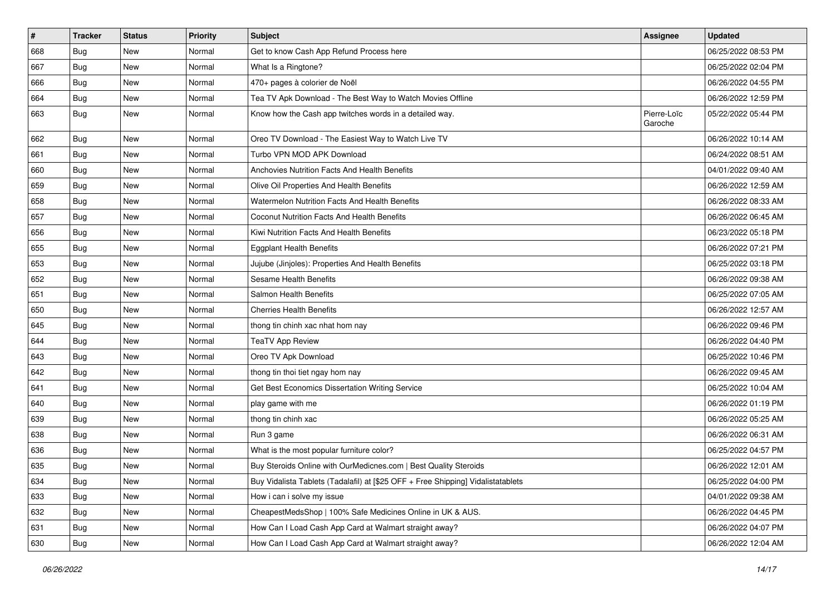| $\#$ | <b>Tracker</b> | <b>Status</b> | <b>Priority</b> | Subject                                                                          | <b>Assignee</b>        | <b>Updated</b>      |
|------|----------------|---------------|-----------------|----------------------------------------------------------------------------------|------------------------|---------------------|
| 668  | <b>Bug</b>     | New           | Normal          | Get to know Cash App Refund Process here                                         |                        | 06/25/2022 08:53 PM |
| 667  | Bug            | New           | Normal          | What Is a Ringtone?                                                              |                        | 06/25/2022 02:04 PM |
| 666  | <b>Bug</b>     | New           | Normal          | 470+ pages à colorier de Noël                                                    |                        | 06/26/2022 04:55 PM |
| 664  | <b>Bug</b>     | New           | Normal          | Tea TV Apk Download - The Best Way to Watch Movies Offline                       |                        | 06/26/2022 12:59 PM |
| 663  | Bug            | New           | Normal          | Know how the Cash app twitches words in a detailed way.                          | Pierre-Loïc<br>Garoche | 05/22/2022 05:44 PM |
| 662  | <b>Bug</b>     | <b>New</b>    | Normal          | Oreo TV Download - The Easiest Way to Watch Live TV                              |                        | 06/26/2022 10:14 AM |
| 661  | <b>Bug</b>     | New           | Normal          | Turbo VPN MOD APK Download                                                       |                        | 06/24/2022 08:51 AM |
| 660  | <b>Bug</b>     | New           | Normal          | Anchovies Nutrition Facts And Health Benefits                                    |                        | 04/01/2022 09:40 AM |
| 659  | Bug            | New           | Normal          | Olive Oil Properties And Health Benefits                                         |                        | 06/26/2022 12:59 AM |
| 658  | <b>Bug</b>     | New           | Normal          | Watermelon Nutrition Facts And Health Benefits                                   |                        | 06/26/2022 08:33 AM |
| 657  | <b>Bug</b>     | New           | Normal          | Coconut Nutrition Facts And Health Benefits                                      |                        | 06/26/2022 06:45 AM |
| 656  | Bug            | New           | Normal          | Kiwi Nutrition Facts And Health Benefits                                         |                        | 06/23/2022 05:18 PM |
| 655  | <b>Bug</b>     | New           | Normal          | <b>Eggplant Health Benefits</b>                                                  |                        | 06/26/2022 07:21 PM |
| 653  | <b>Bug</b>     | New           | Normal          | Jujube (Jinjoles): Properties And Health Benefits                                |                        | 06/25/2022 03:18 PM |
| 652  | Bug            | New           | Normal          | Sesame Health Benefits                                                           |                        | 06/26/2022 09:38 AM |
| 651  | <b>Bug</b>     | New           | Normal          | Salmon Health Benefits                                                           |                        | 06/25/2022 07:05 AM |
| 650  | <b>Bug</b>     | <b>New</b>    | Normal          | <b>Cherries Health Benefits</b>                                                  |                        | 06/26/2022 12:57 AM |
| 645  | Bug            | New           | Normal          | thong tin chinh xac nhat hom nay                                                 |                        | 06/26/2022 09:46 PM |
| 644  | <b>Bug</b>     | <b>New</b>    | Normal          | <b>TeaTV App Review</b>                                                          |                        | 06/26/2022 04:40 PM |
| 643  | <b>Bug</b>     | New           | Normal          | Oreo TV Apk Download                                                             |                        | 06/25/2022 10:46 PM |
| 642  | <b>Bug</b>     | New           | Normal          | thong tin thoi tiet ngay hom nay                                                 |                        | 06/26/2022 09:45 AM |
| 641  | <b>Bug</b>     | New           | Normal          | Get Best Economics Dissertation Writing Service                                  |                        | 06/25/2022 10:04 AM |
| 640  | <b>Bug</b>     | New           | Normal          | play game with me                                                                |                        | 06/26/2022 01:19 PM |
| 639  | Bug            | New           | Normal          | thong tin chinh xac                                                              |                        | 06/26/2022 05:25 AM |
| 638  | Bug            | New           | Normal          | Run 3 game                                                                       |                        | 06/26/2022 06:31 AM |
| 636  | Bug            | New           | Normal          | What is the most popular furniture color?                                        |                        | 06/25/2022 04:57 PM |
| 635  | Bug            | New           | Normal          | Buy Steroids Online with OurMedicnes.com   Best Quality Steroids                 |                        | 06/26/2022 12:01 AM |
| 634  | Bug            | New           | Normal          | Buy Vidalista Tablets (Tadalafil) at [\$25 OFF + Free Shipping] Vidalistatablets |                        | 06/25/2022 04:00 PM |
| 633  | Bug            | New           | Normal          | How i can i solve my issue                                                       |                        | 04/01/2022 09:38 AM |
| 632  | Bug            | New           | Normal          | CheapestMedsShop   100% Safe Medicines Online in UK & AUS.                       |                        | 06/26/2022 04:45 PM |
| 631  | Bug            | New           | Normal          | How Can I Load Cash App Card at Walmart straight away?                           |                        | 06/26/2022 04:07 PM |
| 630  | <b>Bug</b>     | New           | Normal          | How Can I Load Cash App Card at Walmart straight away?                           |                        | 06/26/2022 12:04 AM |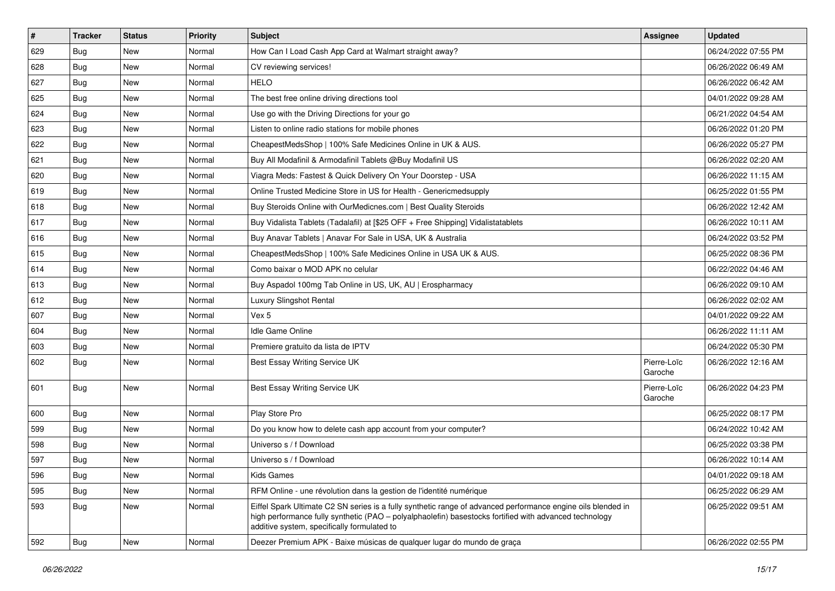| $\vert$ # | <b>Tracker</b> | <b>Status</b> | <b>Priority</b> | Subject                                                                                                                                                                                                                                                               | <b>Assignee</b>        | <b>Updated</b>      |
|-----------|----------------|---------------|-----------------|-----------------------------------------------------------------------------------------------------------------------------------------------------------------------------------------------------------------------------------------------------------------------|------------------------|---------------------|
| 629       | Bug            | New           | Normal          | How Can I Load Cash App Card at Walmart straight away?                                                                                                                                                                                                                |                        | 06/24/2022 07:55 PM |
| 628       | <b>Bug</b>     | New           | Normal          | CV reviewing services!                                                                                                                                                                                                                                                |                        | 06/26/2022 06:49 AM |
| 627       | <b>Bug</b>     | New           | Normal          | <b>HELO</b>                                                                                                                                                                                                                                                           |                        | 06/26/2022 06:42 AM |
| 625       | <b>Bug</b>     | New           | Normal          | The best free online driving directions tool                                                                                                                                                                                                                          |                        | 04/01/2022 09:28 AM |
| 624       | <b>Bug</b>     | <b>New</b>    | Normal          | Use go with the Driving Directions for your go                                                                                                                                                                                                                        |                        | 06/21/2022 04:54 AM |
| 623       | <b>Bug</b>     | New           | Normal          | Listen to online radio stations for mobile phones                                                                                                                                                                                                                     |                        | 06/26/2022 01:20 PM |
| 622       | <b>Bug</b>     | <b>New</b>    | Normal          | CheapestMedsShop   100% Safe Medicines Online in UK & AUS.                                                                                                                                                                                                            |                        | 06/26/2022 05:27 PM |
| 621       | <b>Bug</b>     | New           | Normal          | Buy All Modafinil & Armodafinil Tablets @Buy Modafinil US                                                                                                                                                                                                             |                        | 06/26/2022 02:20 AM |
| 620       | <b>Bug</b>     | New           | Normal          | Viagra Meds: Fastest & Quick Delivery On Your Doorstep - USA                                                                                                                                                                                                          |                        | 06/26/2022 11:15 AM |
| 619       | <b>Bug</b>     | <b>New</b>    | Normal          | Online Trusted Medicine Store in US for Health - Genericmedsupply                                                                                                                                                                                                     |                        | 06/25/2022 01:55 PM |
| 618       | <b>Bug</b>     | New           | Normal          | Buy Steroids Online with OurMedicnes.com   Best Quality Steroids                                                                                                                                                                                                      |                        | 06/26/2022 12:42 AM |
| 617       | <b>Bug</b>     | New           | Normal          | Buy Vidalista Tablets (Tadalafil) at [\$25 OFF + Free Shipping] Vidalistatablets                                                                                                                                                                                      |                        | 06/26/2022 10:11 AM |
| 616       | <b>Bug</b>     | New           | Normal          | Buy Anavar Tablets   Anavar For Sale in USA, UK & Australia                                                                                                                                                                                                           |                        | 06/24/2022 03:52 PM |
| 615       | Bug            | New           | Normal          | CheapestMedsShop   100% Safe Medicines Online in USA UK & AUS.                                                                                                                                                                                                        |                        | 06/25/2022 08:36 PM |
| 614       | <b>Bug</b>     | New           | Normal          | Como baixar o MOD APK no celular                                                                                                                                                                                                                                      |                        | 06/22/2022 04:46 AM |
| 613       | <b>Bug</b>     | New           | Normal          | Buy Aspadol 100mg Tab Online in US, UK, AU   Erospharmacy                                                                                                                                                                                                             |                        | 06/26/2022 09:10 AM |
| 612       | <b>Bug</b>     | New           | Normal          | Luxury Slingshot Rental                                                                                                                                                                                                                                               |                        | 06/26/2022 02:02 AM |
| 607       | <b>Bug</b>     | New           | Normal          | Vex 5                                                                                                                                                                                                                                                                 |                        | 04/01/2022 09:22 AM |
| 604       | <b>Bug</b>     | New           | Normal          | Idle Game Online                                                                                                                                                                                                                                                      |                        | 06/26/2022 11:11 AM |
| 603       | <b>Bug</b>     | New           | Normal          | Premiere gratuito da lista de IPTV                                                                                                                                                                                                                                    |                        | 06/24/2022 05:30 PM |
| 602       | Bug            | New           | Normal          | Best Essay Writing Service UK                                                                                                                                                                                                                                         | Pierre-Loïc<br>Garoche | 06/26/2022 12:16 AM |
| 601       | Bug            | New           | Normal          | Best Essay Writing Service UK                                                                                                                                                                                                                                         | Pierre-Loïc<br>Garoche | 06/26/2022 04:23 PM |
| 600       | <b>Bug</b>     | New           | Normal          | Play Store Pro                                                                                                                                                                                                                                                        |                        | 06/25/2022 08:17 PM |
| 599       | <b>Bug</b>     | <b>New</b>    | Normal          | Do you know how to delete cash app account from your computer?                                                                                                                                                                                                        |                        | 06/24/2022 10:42 AM |
| 598       | <b>Bug</b>     | New           | Normal          | Universo s / f Download                                                                                                                                                                                                                                               |                        | 06/25/2022 03:38 PM |
| 597       | <b>Bug</b>     | New           | Normal          | Universo s / f Download                                                                                                                                                                                                                                               |                        | 06/26/2022 10:14 AM |
| 596       | Bug            | New           | Normal          | Kids Games                                                                                                                                                                                                                                                            |                        | 04/01/2022 09:18 AM |
| 595       | Bug            | New           | Normal          | RFM Online - une révolution dans la gestion de l'identité numérique                                                                                                                                                                                                   |                        | 06/25/2022 06:29 AM |
| 593       | Bug            | New           | Normal          | Eiffel Spark Ultimate C2 SN series is a fully synthetic range of advanced performance engine oils blended in<br>high performance fully synthetic (PAO - polyalphaolefin) basestocks fortified with advanced technology<br>additive system, specifically formulated to |                        | 06/25/2022 09:51 AM |
| 592       | <b>Bug</b>     | New           | Normal          | Deezer Premium APK - Baixe músicas de qualquer lugar do mundo de graça                                                                                                                                                                                                |                        | 06/26/2022 02:55 PM |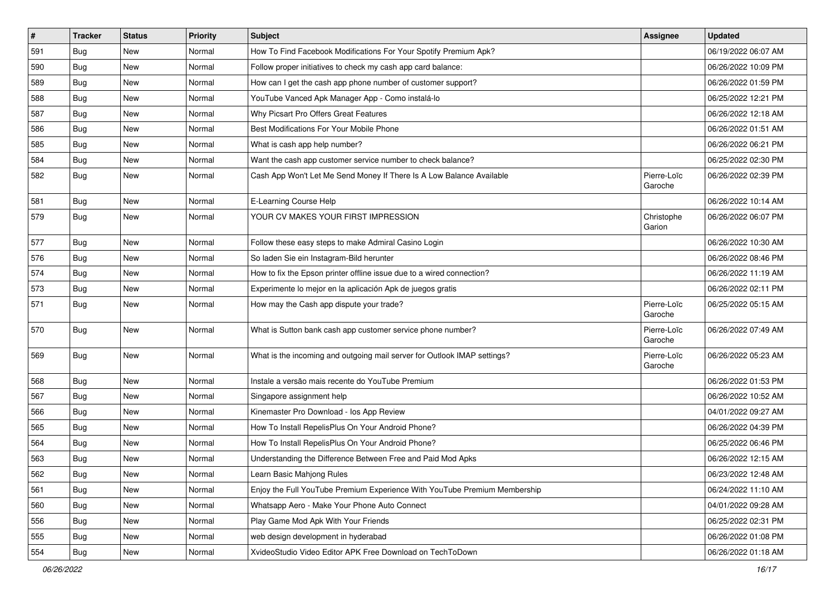| $\sharp$ | <b>Tracker</b> | <b>Status</b> | <b>Priority</b> | Subject                                                                   | <b>Assignee</b>        | <b>Updated</b>      |
|----------|----------------|---------------|-----------------|---------------------------------------------------------------------------|------------------------|---------------------|
| 591      | Bug            | New           | Normal          | How To Find Facebook Modifications For Your Spotify Premium Apk?          |                        | 06/19/2022 06:07 AM |
| 590      | Bug            | <b>New</b>    | Normal          | Follow proper initiatives to check my cash app card balance:              |                        | 06/26/2022 10:09 PM |
| 589      | Bug            | New           | Normal          | How can I get the cash app phone number of customer support?              |                        | 06/26/2022 01:59 PM |
| 588      | <b>Bug</b>     | New           | Normal          | YouTube Vanced Apk Manager App - Como instalá-lo                          |                        | 06/25/2022 12:21 PM |
| 587      | <b>Bug</b>     | <b>New</b>    | Normal          | Why Picsart Pro Offers Great Features                                     |                        | 06/26/2022 12:18 AM |
| 586      | <b>Bug</b>     | New           | Normal          | Best Modifications For Your Mobile Phone                                  |                        | 06/26/2022 01:51 AM |
| 585      | Bug            | <b>New</b>    | Normal          | What is cash app help number?                                             |                        | 06/26/2022 06:21 PM |
| 584      | <b>Bug</b>     | New           | Normal          | Want the cash app customer service number to check balance?               |                        | 06/25/2022 02:30 PM |
| 582      | <b>Bug</b>     | New           | Normal          | Cash App Won't Let Me Send Money If There Is A Low Balance Available      | Pierre-Loïc<br>Garoche | 06/26/2022 02:39 PM |
| 581      | Bug            | <b>New</b>    | Normal          | E-Learning Course Help                                                    |                        | 06/26/2022 10:14 AM |
| 579      | Bug            | New           | Normal          | YOUR CV MAKES YOUR FIRST IMPRESSION                                       | Christophe<br>Garion   | 06/26/2022 06:07 PM |
| 577      | <b>Bug</b>     | <b>New</b>    | Normal          | Follow these easy steps to make Admiral Casino Login                      |                        | 06/26/2022 10:30 AM |
| 576      | Bug            | <b>New</b>    | Normal          | So laden Sie ein Instagram-Bild herunter                                  |                        | 06/26/2022 08:46 PM |
| 574      | <b>Bug</b>     | New           | Normal          | How to fix the Epson printer offline issue due to a wired connection?     |                        | 06/26/2022 11:19 AM |
| 573      | <b>Bug</b>     | <b>New</b>    | Normal          | Experimente lo mejor en la aplicación Apk de juegos gratis                |                        | 06/26/2022 02:11 PM |
| 571      | Bug            | New           | Normal          | How may the Cash app dispute your trade?                                  | Pierre-Loïc<br>Garoche | 06/25/2022 05:15 AM |
| 570      | <b>Bug</b>     | New           | Normal          | What is Sutton bank cash app customer service phone number?               | Pierre-Loïc<br>Garoche | 06/26/2022 07:49 AM |
| 569      | Bug            | <b>New</b>    | Normal          | What is the incoming and outgoing mail server for Outlook IMAP settings?  | Pierre-Loïc<br>Garoche | 06/26/2022 05:23 AM |
| 568      | <b>Bug</b>     | New           | Normal          | Instale a versão mais recente do YouTube Premium                          |                        | 06/26/2022 01:53 PM |
| 567      | Bug            | <b>New</b>    | Normal          | Singapore assignment help                                                 |                        | 06/26/2022 10:52 AM |
| 566      | <b>Bug</b>     | New           | Normal          | Kinemaster Pro Download - los App Review                                  |                        | 04/01/2022 09:27 AM |
| 565      | Bug            | New           | Normal          | How To Install RepelisPlus On Your Android Phone?                         |                        | 06/26/2022 04:39 PM |
| 564      | Bug            | New           | Normal          | How To Install RepelisPlus On Your Android Phone?                         |                        | 06/25/2022 06:46 PM |
| 563      | <b>Bug</b>     | <b>New</b>    | Normal          | Understanding the Difference Between Free and Paid Mod Apks               |                        | 06/26/2022 12:15 AM |
| 562      | Bug            | New           | Normal          | Learn Basic Mahjong Rules                                                 |                        | 06/23/2022 12:48 AM |
| 561      | Bug            | New           | Normal          | Enjoy the Full YouTube Premium Experience With YouTube Premium Membership |                        | 06/24/2022 11:10 AM |
| 560      | <b>Bug</b>     | New           | Normal          | Whatsapp Aero - Make Your Phone Auto Connect                              |                        | 04/01/2022 09:28 AM |
| 556      | <b>Bug</b>     | New           | Normal          | Play Game Mod Apk With Your Friends                                       |                        | 06/25/2022 02:31 PM |
| 555      | Bug            | New           | Normal          | web design development in hyderabad                                       |                        | 06/26/2022 01:08 PM |
| 554      | Bug            | New           | Normal          | XvideoStudio Video Editor APK Free Download on TechToDown                 |                        | 06/26/2022 01:18 AM |